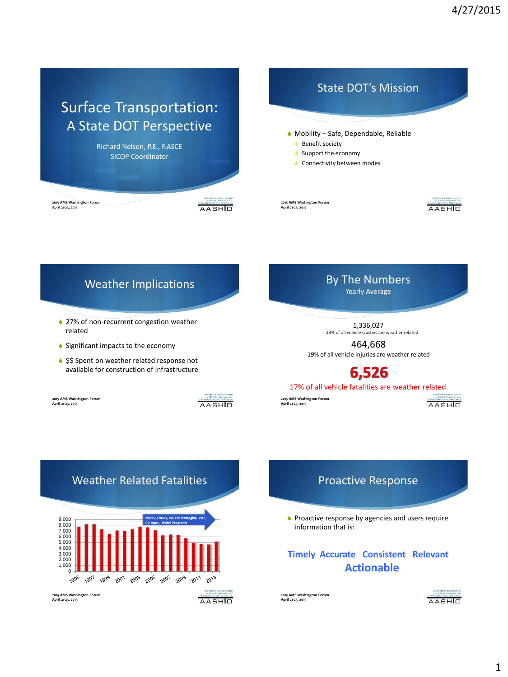# Surface Transportation: A State DOT Perspective

Richard Nelson, P.E., F.ASCE SICOP Coordinator

**2015 AMS Washington Forum April 21-23, 2015**





**2015 AMS Washington Forum April 21-23, 2015**



#### By The Numbers Weather Implications Yearly Average ♦ 27% of non-recurrent congestion weather 1,336,027 related 23% of all vehicle crashes are weather related 464,668  $\bullet$  Significant impacts to the economy 19% of all vehicle injuries are weather related ♦ \$\$ Spent on weather related response not available for construction of infrastructure 6,526 17% of all vehicle fatalities are weather related **2015 AMS Washington Forum April 21-23, 2015 2015 AMS Washington Forum April 21-23, 2015** AASHIO

#### Weather Related Fatalities 9,000 7,000 8,000 6,000 5,000 4,000 3,000 2,000 1,000  $0 +$ 1997 1999 2001 2003 2005 2007 2009 2011 2013 **2015 AMS Washington Forum April 21-23, 2015** AASHIO

#### Proactive Response

 $\bullet$  Proactive response by agencies and users require information that is:

#### **Timely Accurate Consistent Relevant Actionable**

**2015 AMS Washington Forum April 21-23, 2015**



AASHIO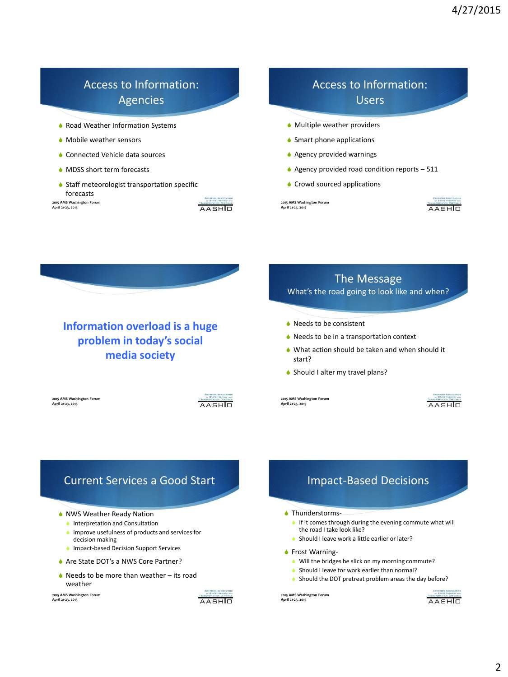## Access to Information: Agencies

- **Road Weather Information Systems**
- $\bullet$  Mobile weather sensors
- $\bullet$  Connected Vehicle data sources
- $\triangle$  MDSS short term forecasts
- $\bullet$  Staff meteorologist transportation specific forecasts

**2015 AMS Washington Forum April 21-23, 2015**



## Access to Information: Users

- $\bullet$  Multiple weather providers
- $\bullet$  Smart phone applications
- $\triangle$  Agency provided warnings
- $\triangle$  Agency provided road condition reports 511
- $\bullet$  Crowd sourced applications

**2015 AMS Washington Forum April 21-23, 2015**





### **Information overload is a huge problem in today's social media society**

**2015 AMS Washington Forum April 21-23, 2015**

AASHIO

# The Message

What's the road going to look like and when?

- $\bullet$  Needs to be consistent
- $\triangle$  Needs to be in a transportation context
- $\blacklozenge$  What action should be taken and when should it start?
- ◆ Should I alter my travel plans?

**2015 AMS Washington Forum April 21-23, 2015**



#### Current Services a Good Start

- NWS Weather Ready Nation
	- $\bullet$  Interpretation and Consultation
	- $\bullet$  improve usefulness of products and services for decision making
	- **Impact-based Decision Support Services**
- ♦ Are State DOT's a NWS Core Partner?
- $\triangle$  Needs to be more than weather its road weather

**2015 AMS Washington Forum April 21-23, 2015**



#### Impact-Based Decisions

#### $\triangle$  Thunderstorms-

- $\bullet$  If it comes through during the evening commute what will the road I take look like?
- $\bullet$  Should I leave work a little earlier or later?
- ◆ Frost Warning-
	- $\bullet$  Will the bridges be slick on my morning commute?
	- $\bullet$  Should I leave for work earlier than normal?
	- ♦ Should the DOT pretreat problem areas the day before?

**2015 AMS Washington Forum April 21-23, 2015**